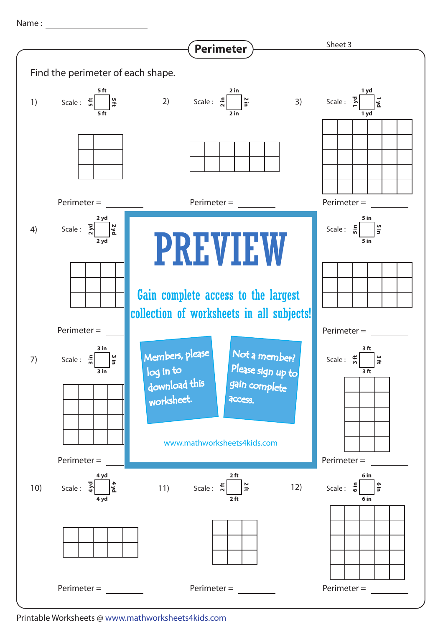Name : with the state of the state of the state of the state of the state of the state of the state of the state of the state of the state of the state of the state of the state of the state of the state of the state of th